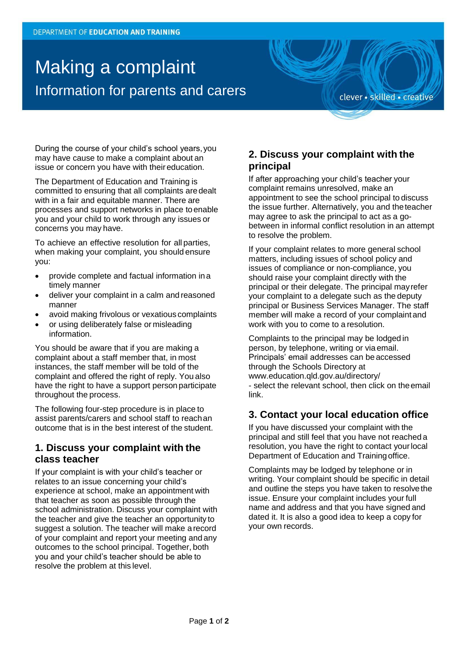# Making a complaint Information for parents and carers

clever · skilled · creative

During the course of your child's school years,you may have cause to make a complaint about an issue or concern you have with their education.

The Department of Education and Training is committed to ensuring that all complaints aredealt with in a fair and equitable manner. There are processes and support networks in place toenable you and your child to work through any issues or concerns you may have.

To achieve an effective resolution for all parties, when making your complaint, you should ensure you:

- provide complete and factual information in a timely manner
- deliver your complaint in a calm and reasoned manner
- avoid making frivolous or vexatious complaints
- or using deliberately false or misleading information.

You should be aware that if you are making a complaint about a staff member that, in most instances, the staff member will be told of the complaint and offered the right of reply. You also have the right to have a support person participate throughout the process.

The following four-step procedure is in place to assist parents/carers and school staff to reachan outcome that is in the best interest of the student.

### **1. Discuss your complaint with the class teacher**

If your complaint is with your child's teacher or relates to an issue concerning your child's experience at school, make an appointment with that teacher as soon as possible through the school administration. Discuss your complaint with the teacher and give the teacher an opportunity to suggest a solution. The teacher will make arecord of your complaint and report your meeting and any outcomes to the school principal. Together, both you and your child's teacher should be able to resolve the problem at this level.

### **2. Discuss your complaint with the principal**

If after approaching your child's teacher your complaint remains unresolved, make an appointment to see the school principal to discuss the issue further. Alternatively, you and theteacher may agree to ask the principal to act as a gobetween in informal conflict resolution in an attempt to resolve the problem.

If your complaint relates to more general school matters, including issues of school policy and issues of compliance or non-compliance, you should raise your complaint directly with the principal or their delegate. The principal mayrefer your complaint to a delegate such as the deputy principal or Business Services Manager. The staff member will make a record of your complaint and work with you to come to a resolution.

Complaints to the principal may be lodged in person, by telephone, writing or via email. Principals' email addresses can be accessed through the Schools Directory a[t](http://www.education.qld.gov.au/directory/) [www.education.qld.gov.au/directory/](http://www.education.qld.gov.au/directory/) - select the relevant school, then click on theemail link.

### **3. Contact your local education office**

If you have discussed your complaint with the principal and still feel that you have not reached a resolution, you have the right to contact yourlocal Department of Education and Trainingoffice.

Complaints may be lodged by telephone or in writing. Your complaint should be specific in detail and outline the steps you have taken to resolvethe issue. Ensure your complaint includes your full name and address and that you have signed and dated it. It is also a good idea to keep a copy for your own records.